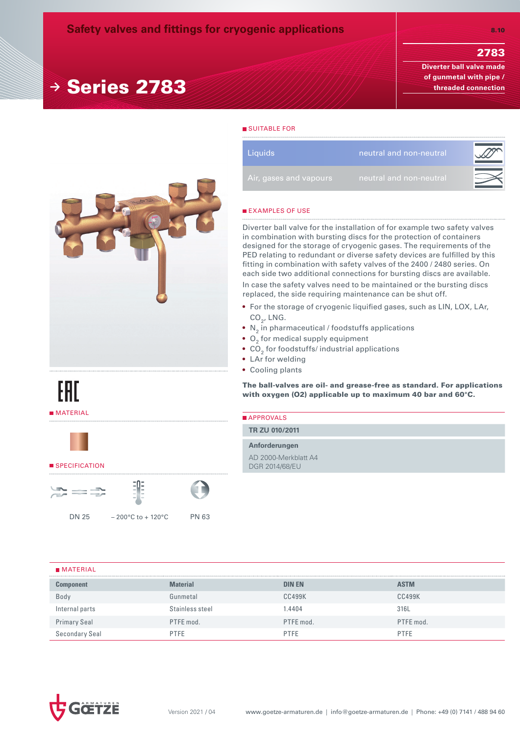# 2783

**Diverter ball valve made of gunmetal with pipe / threaded connection**



DN 25 – 200°C to + 120°C PN 63

**<sup>→</sup>** Series 2783

## SUITABLE FOR

| <b>Liquids</b>         | neutral and non-neutral |  |
|------------------------|-------------------------|--|
| Air, gases and vapours | neutral and non-neutral |  |

## **EXAMPLES OF USE**

Diverter ball valve for the installation of for example two safety valves in combination with bursting discs for the protection of containers designed for the storage of cryogenic gases. The requirements of the PED relating to redundant or diverse safety devices are fulfilled by this fitting in combination with safety valves of the 2400 / 2480 series. On each side two additional connections for bursting discs are available.

In case the safety valves need to be maintained or the bursting discs replaced, the side requiring maintenance can be shut off.

- For the storage of cryogenic liquified gases, such as LIN, LOX, LAr,  $CO<sub>2</sub>$ , LNG.
- $\bullet$  N<sub>2</sub> in pharmaceutical / foodstuffs applications
- $\bullet$  O<sub>2</sub> for medical supply equipment
- $\bullet$  CO $_2$  for foodstuffs/ industrial applications
- LAr for welding
- Cooling plants

The ball-valves are oil- and grease-free as standard. For applications with oxygen (O2) applicable up to maximum 40 bar and 60°C.

| <b>APPROVALS</b>                       |  |  |  |
|----------------------------------------|--|--|--|
| TR ZU 010/2011                         |  |  |  |
| Anforderungen                          |  |  |  |
| AD 2000-Merkblatt A4<br>DGR 2014/68/EU |  |  |  |

#### **MATERIAL**

**MATERIAL** 

EAD

SPECIFICATION

 $\mathbb{Z} = \mathbb{R}$ 

| <b>Component</b>    | <b>Material</b> | <b>DIN EN</b> | <b>ASTM</b> |
|---------------------|-----------------|---------------|-------------|
| Body                | Gunmetal        | <b>CC499K</b> | CC499K      |
| Internal parts      | Stainless steel | .4404         | 316L        |
| <b>Primary Seal</b> | PTFE mod.       | PTFE mod.     | PTFE mod.   |
| Secondary Seal      | PTFE            | PTFE          | <b>PTFE</b> |

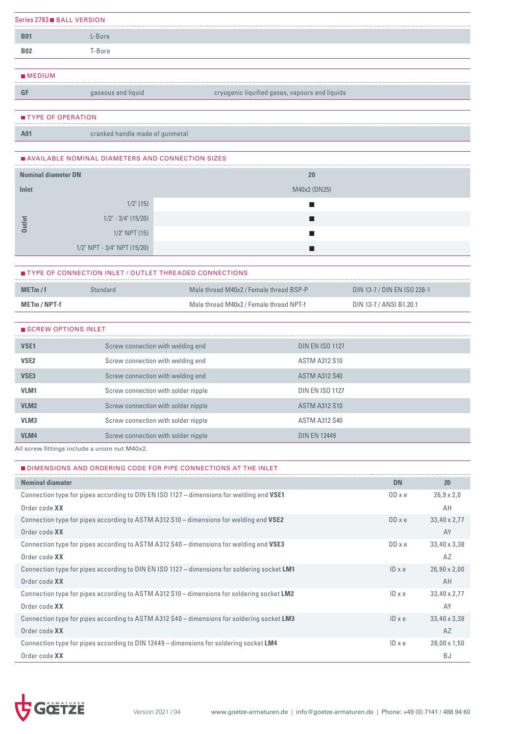|                | Series 2783■ BALL VERSION |  |
|----------------|---------------------------|--|
| B <sub>0</sub> | -Bore                     |  |
| <b>B02</b>     | -Bore                     |  |
|                |                           |  |

# MEDIUM

**GF** gaseous and liquid cryogenic liquified gases, vapours and liquids

#### **TYPE OF OPERATION**

**A01** cranked handle made of gunmetal

## AVAILABLE NOMINAL DIAMETERS AND CONNECTION SIZES

| <b>Nominal diameter DN</b> |                             | 20           |
|----------------------------|-----------------------------|--------------|
| Inlet                      |                             | M40x2 (DN25) |
|                            | $1/2$ " (15)                |              |
| utlet                      | $1/2$ " - $3/4$ " (15/20)   |              |
| $\bullet$                  | $1/2$ " NPT $(15)$          |              |
|                            | 1/2" NPT - 3/4" NPT (15/20) |              |

|                     | <b>TYPE OF CONNECTION INLET / OUTLET THREADED CONNECTIONS</b> |                                         |                             |
|---------------------|---------------------------------------------------------------|-----------------------------------------|-----------------------------|
| MET <sub>m</sub> /f | Standard                                                      | Male thread M40x2 / Female thread BSP-P | DIN 13-7 / DIN EN ISO 228-1 |
| METm / NPT-f        |                                                               | Male thread M40x2 / Female thread NPT-f | DIN 13-7 / ANSI B1.20.1     |

| SCREW OPTIONS INLET |                                     |                        |
|---------------------|-------------------------------------|------------------------|
| VSE <sub>1</sub>    | Screw connection with welding end   | <b>DIN EN ISO 1127</b> |
| VSE <sub>2</sub>    | Screw connection with welding end   | <b>ASTM A312 S10</b>   |
| VSE <sub>3</sub>    | Screw connection with welding end   | <b>ASTM A312 S40</b>   |
| VLM <sub>1</sub>    | Screw connection with solder nipple | <b>DIN EN ISO 1127</b> |
| VLM <sub>2</sub>    | Screw connection with solder nipple | <b>ASTM A312 S10</b>   |
| VLM <sub>3</sub>    | Screw connection with solder nipple | <b>ASTM A312 S40</b>   |
| VLM4                | Screw connection with solder nipple | <b>DIN FN 12449</b>    |

All screw fittings include a union nut M40x2.

| ■ DIMENSIONS AND ORDERING CODE FOR PIPE CONNECTIONS AT THE INLET                             |               |                     |
|----------------------------------------------------------------------------------------------|---------------|---------------------|
| <b>Nominal diamater</b>                                                                      | <b>DN</b>     | <b>20</b>           |
| Connection type for pipes according to DIN EN ISO 1127 - dimensions for welding end VSE1     | $OD \times e$ | $26.9 \times 2.0$   |
| Order code XX                                                                                |               | AH                  |
| Connection type for pipes according to ASTM A312 S10 – dimensions for welding end VSE2       | ODxe          | 33,40 x 2,77        |
| Order code XX                                                                                |               | AY                  |
| Connection type for pipes according to ASTM A312 S40 – dimensions for welding end VSE3       | $OD \times e$ | 33,40 x 3,38        |
| Order code XX                                                                                |               | AZ                  |
| Connection type for pipes according to DIN EN ISO 1127 - dimensions for soldering socket LM1 | $ID \times e$ | $26,90 \times 2,00$ |
| Order code XX                                                                                |               | AH                  |
| Connection type for pipes according to ASTM A312 S10 – dimensions for soldering socket LM2   | $ID \times e$ | 33,40 x 2,77        |
| Order code XX                                                                                |               | AY                  |
| Connection type for pipes according to ASTM A312 S40 - dimensions for soldering socket LM3   | $ID \times e$ | 33,40 x 3,38        |
| Order code XX                                                                                |               | AZ                  |
| Connection type for pipes according to DIN 12449 – dimensions for soldering socket LM4       | $ID \times e$ | $28,00 \times 1,50$ |
| Order code XX                                                                                |               | <b>BJ</b>           |

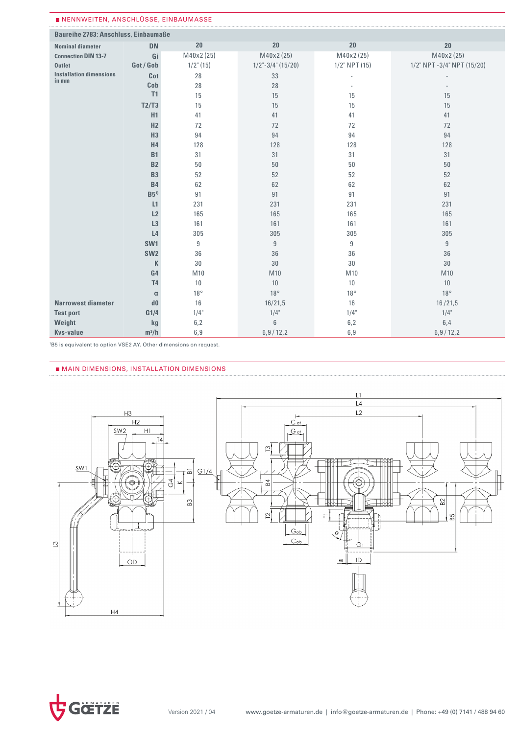| ■ NENNWEITEN, ANSCHLUSSE, EINBAUMASSE       |                 |              |                      |                  |                            |
|---------------------------------------------|-----------------|--------------|----------------------|------------------|----------------------------|
| <b>Baureihe 2783: Anschluss, Einbaumaße</b> |                 |              |                      |                  |                            |
| <b>Nominal diameter</b>                     | <b>DN</b>       | 20           | 20                   | 20               | 20                         |
| <b>Connection DIN 13-7</b>                  | Gi              | M40x2 (25)   | M40x2 (25)           | M40x2 (25)       | M40x2 (25)                 |
| <b>Outlet</b>                               | Got / Gob       | $1/2$ " (15) | $1/2$ "-3/4" (15/20) | $1/2$ " NPT (15) | 1/2" NPT -3/4" NPT (15/20) |
| <b>Installation dimensions</b>              | Cot             | 28           | 33                   | ÷,               |                            |
| in mm                                       | Cob             | 28           | 28                   | $\overline{a}$   |                            |
|                                             | T1              | 15           | 15                   | 15               | 15                         |
|                                             | T2/T3           | 15           | 15                   | 15               | 15                         |
|                                             | H1              | 41           | 41                   | 41               | 41                         |
|                                             | H2              | 72           | 72                   | 72               | 72                         |
|                                             | H3              | 94           | 94                   | 94               | 94                         |
|                                             | H4              | 128          | 128                  | 128              | 128                        |
|                                             | <b>B1</b>       | 31           | 31                   | 31               | 31                         |
|                                             | <b>B2</b>       | 50           | 50                   | 50               | 50                         |
|                                             | <b>B3</b>       | 52           | 52                   | 52               | 52                         |
|                                             | <b>B4</b>       | 62           | 62                   | 62               | 62                         |
|                                             | B5 <sup>1</sup> | 91           | 91                   | 91               | 91                         |
|                                             | L1              | 231          | 231                  | 231              | 231                        |
|                                             | L2              | 165          | 165                  | 165              | 165                        |
|                                             | L3              | 161          | 161                  | 161              | 161                        |
|                                             | L <sub>4</sub>  | 305          | 305                  | 305              | 305                        |
|                                             | SW <sub>1</sub> | $9\,$        | 9                    | 9                | $\boldsymbol{9}$           |
|                                             | SW <sub>2</sub> | 36           | 36                   | 36               | 36                         |
|                                             | K               | 30           | 30                   | 30               | 30                         |
|                                             | G4              | M10          | M10                  | M10              | M10                        |
|                                             | <b>T4</b>       | 10           | 10                   | 10               | 10                         |
|                                             | $\alpha$        | $18^{\circ}$ | $18^{\circ}$         | $18^{\circ}$     | $18^{\circ}$               |
| <b>Narrowest diameter</b>                   | d0              | 16           | 16/21,5              | 16               | 16/21,5                    |
| <b>Test port</b>                            | G1/4            | $1/4$ "      | $1/4$ "              | $1/4$ "          | $1/4$ "                    |
| Weight                                      | kg              | 6,2          | $6\,$                | 6,2              | 6,4                        |
| <b>Kvs-value</b>                            | $m^3/h$         | 6,9          | 6,9/12,2             | 6,9              | 6,9/12,2                   |

1 B5 is equivalent to option VSE2 AY. Other dimensions on request.

#### MAIN DIMENSIONS, INSTALLATION DIMENSIONS